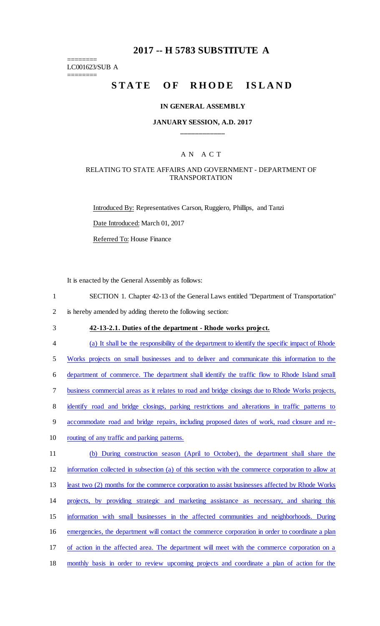## **2017 -- H 5783 SUBSTITUTE A**

======== LC001623/SUB A

========

# STATE OF RHODE ISLAND

#### **IN GENERAL ASSEMBLY**

#### **JANUARY SESSION, A.D. 2017 \_\_\_\_\_\_\_\_\_\_\_\_**

### A N A C T

#### RELATING TO STATE AFFAIRS AND GOVERNMENT - DEPARTMENT OF TRANSPORTATION

Introduced By: Representatives Carson, Ruggiero, Phillips, and Tanzi Date Introduced: March 01, 2017 Referred To: House Finance

It is enacted by the General Assembly as follows:

- 1 SECTION 1. Chapter 42-13 of the General Laws entitled "Department of Transportation"
- 2 is hereby amended by adding thereto the following section:
- 

## 3 **42-13-2.1. Duties of the department - Rhode works project.**

4 (a) It shall be the responsibility of the department to identify the specific impact of Rhode

5 Works projects on small businesses and to deliver and communicate this information to the

6 department of commerce. The department shall identify the traffic flow to Rhode Island small

7 business commercial areas as it relates to road and bridge closings due to Rhode Works projects,

8 identify road and bridge closings, parking restrictions and alterations in traffic patterns to

9 accommodate road and bridge repairs, including proposed dates of work, road closure and re-

- 10 routing of any traffic and parking patterns.
- 11 (b) During construction season (April to October), the department shall share the 12 information collected in subsection (a) of this section with the commerce corporation to allow at

13 least two (2) months for the commerce corporation to assist businesses affected by Rhode Works

- 14 projects, by providing strategic and marketing assistance as necessary, and sharing this
- 15 information with small businesses in the affected communities and neighborhoods. During
- 16 emergencies, the department will contact the commerce corporation in order to coordinate a plan
- 17 of action in the affected area. The department will meet with the commerce corporation on a
- 18 monthly basis in order to review upcoming projects and coordinate a plan of action for the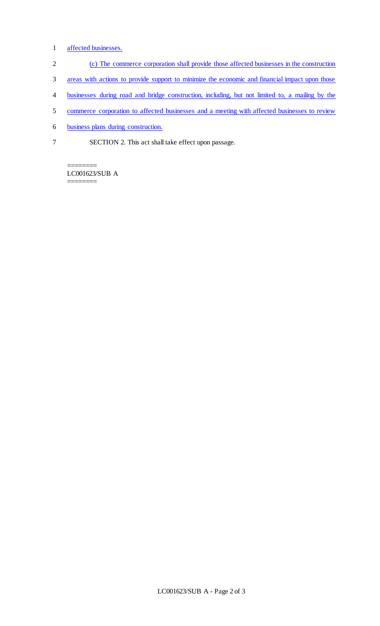- 1 affected businesses.
- 2 (c) The commerce corporation shall provide those affected businesses in the construction
- 3 areas with actions to provide support to minimize the economic and financial impact upon those
- 4 businesses during road and bridge construction, including, but not limited to, a mailing by the
- 5 commerce corporation to affected businesses and a meeting with affected businesses to review
- 6 business plans during construction.
- 7 SECTION 2. This act shall take effect upon passage.

======== LC001623/SUB A ========